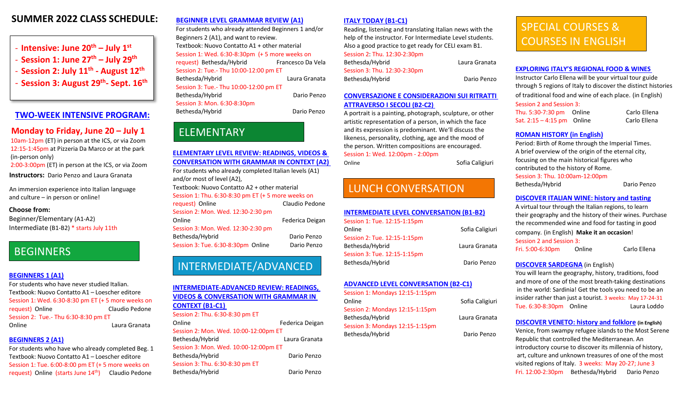## **SUMMER 2022 CLASS SCHEDULE:**

- **Intensive: June 20th July 1st**
- **Session 1: June 27th July 29th**
- **Session 2: July 11th August 12th**
- **Session 3: August 29th- Sept. 16th**

## **[TWO-WEEK INTENSIVE PROGRAM:](https://italianculturalsociety.org/summer-intensive/)**

## **Monday to Friday, June 20 – July 1**

10am-12pm (ET) in person at the ICS, or via Zoom 12:15-1:45pm at Pizzeria Da Marco or at the park (in-person only)

2:00-3:00pm (ET) in person at the ICS, or via Zoom **Instructors:** Dario Penzo and Laura Granata

An immersion experience into Italian language and culture – in person or online!

#### **Choose from:**

Beginner/Elementary (A1-A2) Intermediate (B1-B2) \* starts July 11th

## **BEGINNERS**

#### **[BEGINNERS 1 \(A1\)](https://italianculturalsociety.org/course/summer-beginners/)**

For students who have never studied Italian. Textbook: Nuovo Contatto A1 – Loescher editore Session 1: Wed. 6:30-8:30 pm ET (+ 5 more weeks on request) Online Claudio Pedone Session 2: Tue.- Thu 6:30-8:30 pm ET Online Laura Granata

#### **[BEGINNERS 2 \(A1\)](https://italianculturalsociety.org/course/summer-beginners/)**

For students who have who already completed Beg. 1 Textbook: Nuovo Contatto A1 – Loescher editore Session 1: Tue. 6:00-8:00 pm ET (+ 5 more weeks on request) Online (starts June 14<sup>th</sup>) Claudio Pedone

#### **[BEGINNER LEVEL GRAMMAR REVIEW \(A1\)](https://italianculturalsociety.org/course/summer-beginners/)**

For students who already attended Beginners 1 and/or Beginners 2 (A1), and want to review. Textbook: Nuovo Contatto A1 + other material Session 1: Wed. 6:30-8:30pm (+ 5 more weeks on request) Bethesda/Hybrid Francesco Da Vela Session 2: Tue.- Thu 10:00-12:00 pm ET Bethesda/Hybrid Laura Granata Session 3: Tue.- Thu 10:00-12:00 pm ET Bethesda/Hybrid Dario Penzo Session 3: Mon. 6:30-8:30pm Bethesda/Hybrid Dario Penzo

# ELEMENTARY

**ELEMENTARY LEVEL [REVIEW: READINGS, VIDEOS &](https://italianculturalsociety.org/course/summer-elementary/)  [CONVERSATION WITH GRAMMAR IN CONTEXT](https://italianculturalsociety.org/course/summer-elementary/) (A2)** For students who already completed Italian levels (A1) and/or most of level (A2), Textbook: Nuovo Contatto A2 + other material Session 1: Thu. 6:30-8:30 pm ET (+ 5 more weeks on request) Online Claudio Pedone Session 2: Mon. Wed. 12:30-2:30 pm Online **Federica** Deigan Session 3: Mon. Wed. 12:30-2:30 pm Bethesda/Hybrid Dario Penzo Session 3: Tue. 6:30-8:30pm Online Dario Penzo

# INTERMEDIATE/ADVANCED

#### **[INTERMEDIATE-ADVANCED](https://italianculturalsociety.org/course/summer-intermediate/) REVIEW: READINGS, VIDEOS & [CONVERSATION WITH GRAMMAR IN](https://italianculturalsociety.org/course/summer-intermediate/)  [CONTEXT \(B1-C1\)](https://italianculturalsociety.org/course/summer-intermediate/)**  Session 2: Thu. 6:30-8:30 pm ET Online **Federica** Deigan Session 2: Mon. Wed. 10:00-12:00pm ET Bethesda/Hybrid Laura Granata Session 3: Mon. Wed. 10:00-12:00pm ET

Bethesda/Hybrid Dario Penzo Session 3: Thu. 6:30-8:30 pm ET Bethesda/Hybrid Dario Penzo

#### **ITALY TODAY [\(B1-C1\)](https://italianculturalsociety.org/course/summer-intermediate/)**

Reading, listening and translating Italian news with the help of the instructor. For Intermediate Level students. Also a good practice to get ready for CELI exam B1. Session 2: Thu. 12:30-2:30pm

| Bethesda/Hybrid              | Laura Granata |
|------------------------------|---------------|
| Session 3: Thu. 12:30-2:30pm |               |
| Bethesda/Hybrid              | Dario Penzo   |

#### **[CONVERSAZIONE E CONSIDERAZIONI SUI RITRATTI](https://italianculturalsociety.org/course/summer-advanced/)  [ATTRAVERSO I SECOLI \(B2-C2\)](https://italianculturalsociety.org/course/summer-advanced/)**

A portrait is a painting, photograph, sculpture, or other artistic representation of a person, in which the face and its expression is predominant. We'll discuss the likeness, personality, clothing, age and the mood of the person. Written compositions are encouraged. Session 1: Wed. 12:00pm - 2:00pm

Online Sofia Caligiuri

# LUNCH CONVERSATION

#### **[INTERMEDIATE LEVEL CONVERSATION \(B1-B2\)](https://italianculturalsociety.org/course/lunchtime-conversation/)**

| Session 1: Tue. 12:15-1:15pm |                 |
|------------------------------|-----------------|
| Online                       | Sofia Caligiuri |
| Session 2: Tue. 12:15-1:15pm |                 |
| Bethesda/Hybrid              | Laura Granata   |
| Session 3: Tue. 12:15-1:15pm |                 |
| Dothoeda /Uuhrid             | Dorio Donzo     |

#### **ADVANCED [LEVEL CONVERSATION \(B2-C1\)](https://italianculturalsociety.org/course/lunchtime-conversation/)**

Session 1: Mondays 12:15-1:15pm Online Sofia Caligiuri Session 2: Mondays 12:15-1:15pm Bethesda/Hybrid **Laura Granata** Session 3: Mondays 12:15-1:15pm Bethesda/Hybrid Dario Penzo

# SPECIAL COURSES & COURSES IN ENGLISH

#### **[EXPLORING ITALY'S REGIONAL FOOD & WINES](https://italianculturalsociety.org/course/italy-food-wine/)**

Instructor Carlo Ellena will be your virtual tour guide through 5 regions of Italy to discover the distinct histories of traditional food and wine of each place. (in English) Session 2 and Session 3:

Thu. 5:30-7:30 pmOnline Carlo Ellena Sat. 2:15 – 4:15 pm Online Carlo Ellena

### **[ROMAN HISTORY \(in English\)](https://italianculturalsociety.org/course/roman-history-2/)**

Period: Birth of Rome through the Imperial Times. A brief overview of the origin of the eternal city, focusing on the main historical figures who contributed to the history of Rome.

Session 3: Thu. 10:00am-12:00pm

Bethesda/Hybrid Dario Penzo

#### **[DISCOVER ITALIAN WINE: history and tasting](https://italianculturalsociety.org/course/discover-italian-wine-history-and-tasting/)**

A virtual tour through the Italian regions, to learn their geography and the history of their wines. Purchase the recommended wine and food for tasting in good company. (in English) **Make it an occasion**! Session 2 and Session 3:

Fri. 5:00-6:30pm OnlineCarlo Ellena

#### **[DISCOVER SARDEGNA](https://italianculturalsociety.org/course/discover-sardegna/)** (in English)

You will learn the geography, history, traditions, food and more of one of the most breath-taking destinations in the world: Sardinia! Get the tools you need to be an insider rather than just a tourist. 3 weeks: May 17-24-31 Tue. 6:30-8:30pm Online Laura Loddo

#### **[DISCOVER VENETO: history and folklore](https://italianculturalsociety.org/course/discover-veneto-2/) (in English)**

Venice, from swampy refugee islands to the Most Serene Republic that controlled the Mediterranean. An introductory course to discover its millennia of history, art, culture and unknown treasures of one of the most visited regions of Italy. 3 weeks: May 20-27; June 3 Fri. 12:00-2:30pm Bethesda/Hybrid Dario Penzo

Bethesda/Hybrid Dario Penzo